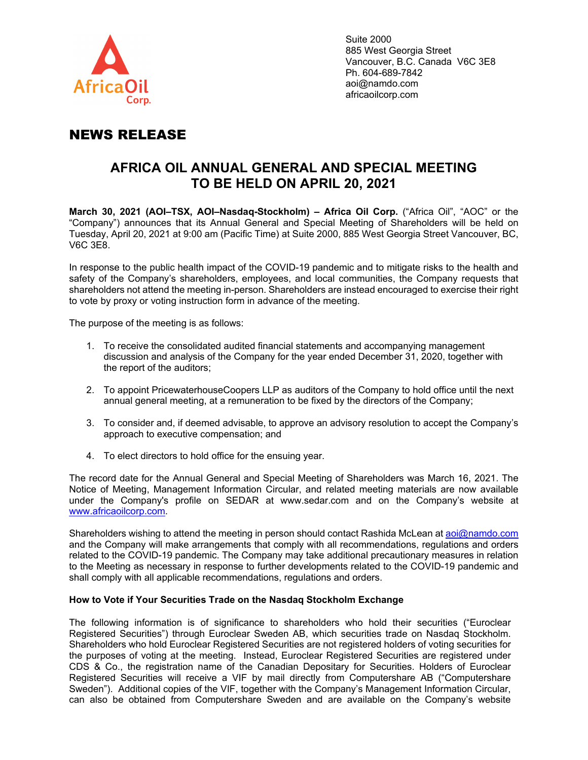

Suite 2000 885 West Georgia Street Vancouver, B.C. Canada V6C 3E8 Ph. 604-689-7842 aoi@namdo.com africaoilcorp.com

# NEWS RELEASE

## **AFRICA OIL ANNUAL GENERAL AND SPECIAL MEETING TO BE HELD ON APRIL 20, 2021**

**March 30, 2021 (AOI–TSX, AOI–Nasdaq-Stockholm) – Africa Oil Corp.** ("Africa Oil", "AOC" or the "Company") announces that its Annual General and Special Meeting of Shareholders will be held on Tuesday, April 20, 2021 at 9:00 am (Pacific Time) at Suite 2000, 885 West Georgia Street Vancouver, BC, V6C 3E8.

In response to the public health impact of the COVID-19 pandemic and to mitigate risks to the health and safety of the Company's shareholders, employees, and local communities, the Company requests that shareholders not attend the meeting in-person. Shareholders are instead encouraged to exercise their right to vote by proxy or voting instruction form in advance of the meeting.

The purpose of the meeting is as follows:

- 1. To receive the consolidated audited financial statements and accompanying management discussion and analysis of the Company for the year ended December 31, 2020, together with the report of the auditors;
- 2. To appoint PricewaterhouseCoopers LLP as auditors of the Company to hold office until the next annual general meeting, at a remuneration to be fixed by the directors of the Company;
- 3. To consider and, if deemed advisable, to approve an advisory resolution to accept the Company's approach to executive compensation; and
- 4. To elect directors to hold office for the ensuing year.

The record date for the Annual General and Special Meeting of Shareholders was March 16, 2021. The Notice of Meeting, Management Information Circular, and related meeting materials are now available under the Company's profile on SEDAR at www.sedar.com and on the Company's website at [www.africaoilcorp.com.](http://www.africaoilcorp.com/)

Shareholders wishing to attend the meeting in person should contact Rashida McLean at [aoi@namdo.com](mailto:aoi@namdo.com) and the Company will make arrangements that comply with all recommendations, regulations and orders related to the COVID-19 pandemic. The Company may take additional precautionary measures in relation to the Meeting as necessary in response to further developments related to the COVID-19 pandemic and shall comply with all applicable recommendations, regulations and orders.

## **How to Vote if Your Securities Trade on the Nasdaq Stockholm Exchange**

The following information is of significance to shareholders who hold their securities ("Euroclear Registered Securities") through Euroclear Sweden AB, which securities trade on Nasdaq Stockholm. Shareholders who hold Euroclear Registered Securities are not registered holders of voting securities for the purposes of voting at the meeting. Instead, Euroclear Registered Securities are registered under CDS & Co., the registration name of the Canadian Depositary for Securities. Holders of Euroclear Registered Securities will receive a VIF by mail directly from Computershare AB ("Computershare Sweden"). Additional copies of the VIF, together with the Company's Management Information Circular, can also be obtained from Computershare Sweden and are available on the Company's website